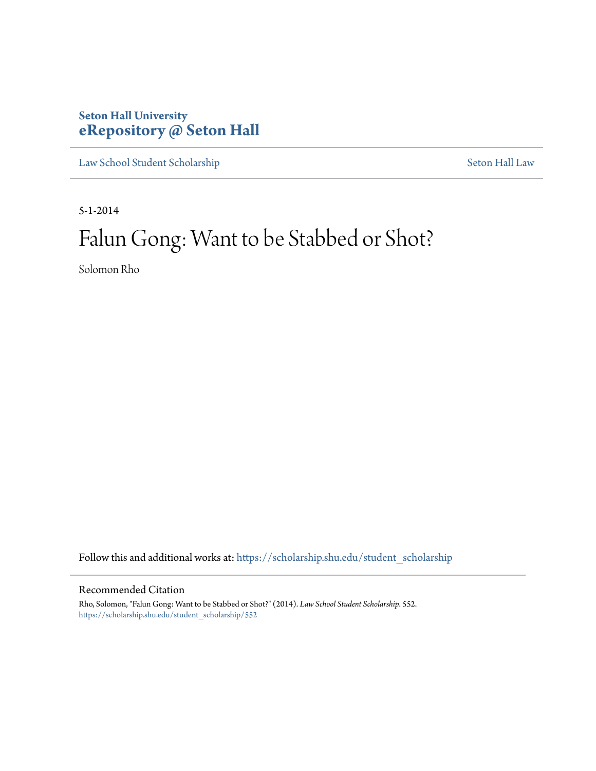# **Seton Hall University [eRepository @ Seton Hall](https://scholarship.shu.edu?utm_source=scholarship.shu.edu%2Fstudent_scholarship%2F552&utm_medium=PDF&utm_campaign=PDFCoverPages)**

[Law School Student Scholarship](https://scholarship.shu.edu/student_scholarship?utm_source=scholarship.shu.edu%2Fstudent_scholarship%2F552&utm_medium=PDF&utm_campaign=PDFCoverPages) [Seton Hall Law](https://scholarship.shu.edu/law?utm_source=scholarship.shu.edu%2Fstudent_scholarship%2F552&utm_medium=PDF&utm_campaign=PDFCoverPages)

5-1-2014

# Falun Gong: Want to be Stabbed or Shot?

Solomon Rho

Follow this and additional works at: [https://scholarship.shu.edu/student\\_scholarship](https://scholarship.shu.edu/student_scholarship?utm_source=scholarship.shu.edu%2Fstudent_scholarship%2F552&utm_medium=PDF&utm_campaign=PDFCoverPages)

# Recommended Citation

Rho, Solomon, "Falun Gong: Want to be Stabbed or Shot?" (2014). *Law School Student Scholarship*. 552. [https://scholarship.shu.edu/student\\_scholarship/552](https://scholarship.shu.edu/student_scholarship/552?utm_source=scholarship.shu.edu%2Fstudent_scholarship%2F552&utm_medium=PDF&utm_campaign=PDFCoverPages)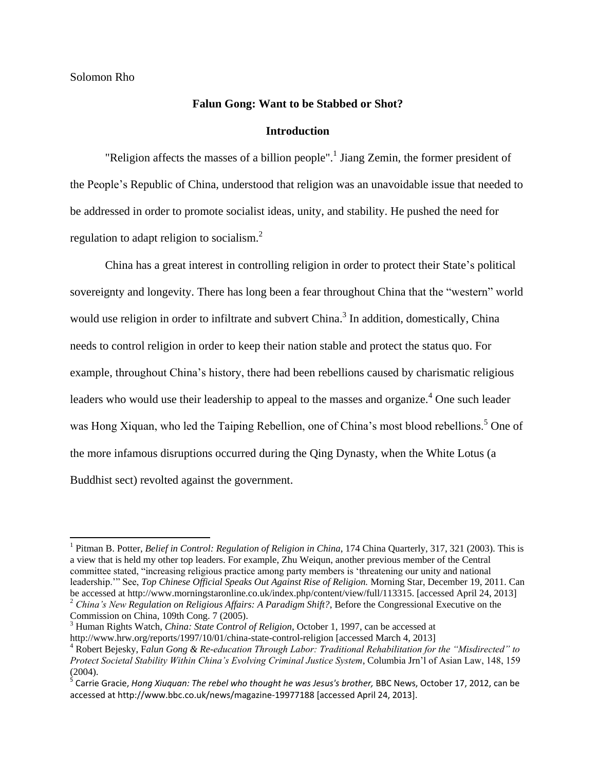# Solomon Rho

# **Falun Gong: Want to be Stabbed or Shot?**

#### **Introduction**

"Religion affects the masses of a billion people".<sup>1</sup> Jiang Zemin, the former president of the People's Republic of China, understood that religion was an unavoidable issue that needed to be addressed in order to promote socialist ideas, unity, and stability. He pushed the need for regulation to adapt religion to socialism.<sup>2</sup>

China has a great interest in controlling religion in order to protect their State's political sovereignty and longevity. There has long been a fear throughout China that the "western" world would use religion in order to infiltrate and subvert China. $3$  In addition, domestically, China needs to control religion in order to keep their nation stable and protect the status quo. For example, throughout China's history, there had been rebellions caused by charismatic religious leaders who would use their leadership to appeal to the masses and organize.<sup>4</sup> One such leader was Hong Xiquan, who led the Taiping Rebellion, one of China's most blood rebellions.<sup>5</sup> One of the more infamous disruptions occurred during the Qing Dynasty, when the White Lotus (a Buddhist sect) revolted against the government.

Commission on China, 109th Cong. 7 (2005).

<sup>&</sup>lt;sup>1</sup> Pitman B. Potter, *Belief in Control: Regulation of Religion in China*, 174 China Quarterly, 317, 321 (2003). This is a view that is held my other top leaders. For example, Zhu Weiqun, another previous member of the Central committee stated, "increasing religious practice among party members is 'threatening our unity and national leadership.'" See, *Top Chinese Official Speaks Out Against Rise of Religion.* Morning Star, December 19, 2011. Can be accessed at http://www.morningstaronline.co.uk/index.php/content/view/full/113315. [accessed April 24, 2013] <sup>2</sup> *China's New Regulation on Religious Affairs: A Paradigm Shift?*, Before the Congressional Executive on the

<sup>3</sup> Human Rights Watch, *China: State Control of Religion*, October 1, 1997, can be accessed at http://www.hrw.org/reports/1997/10/01/china-state-control-religion [accessed March 4, 2013]

<sup>4</sup> Robert Bejesky, F*alun Gong & Re-education Through Labor: Traditional Rehabilitation for the "Misdirected" to Protect Societal Stability Within China's Evolving Criminal Justice System*, Columbia Jrn'l of Asian Law, 148, 159  $(2004)$ .

<sup>&</sup>lt;sup>5</sup> Carrie Gracie, *Hong Xiuquan: The rebel who thought he was Jesus's brother, BBC News, October 17, 2012, can be* accessed at http://www.bbc.co.uk/news/magazine-19977188 [accessed April 24, 2013].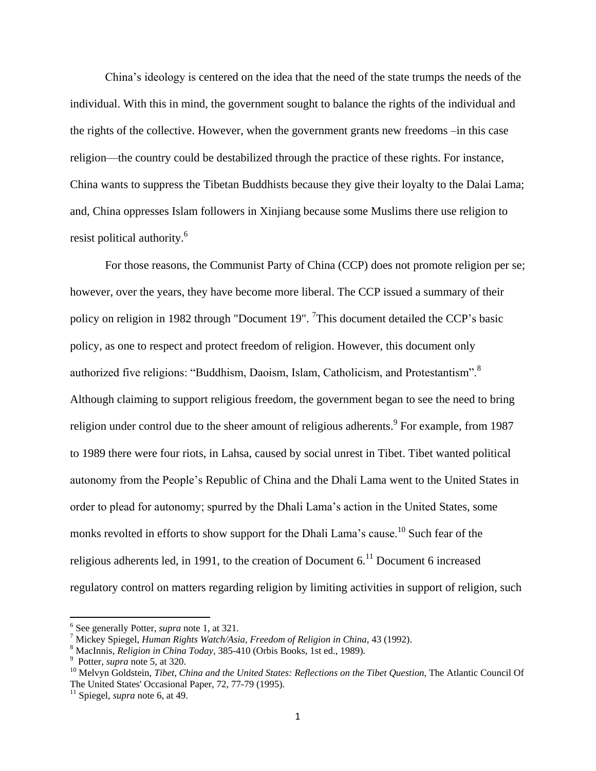China's ideology is centered on the idea that the need of the state trumps the needs of the individual. With this in mind, the government sought to balance the rights of the individual and the rights of the collective. However, when the government grants new freedoms –in this case religion—the country could be destabilized through the practice of these rights. For instance, China wants to suppress the Tibetan Buddhists because they give their loyalty to the Dalai Lama; and, China oppresses Islam followers in Xinjiang because some Muslims there use religion to resist political authority.<sup>6</sup>

For those reasons, the Communist Party of China (CCP) does not promote religion per se; however, over the years, they have become more liberal. The CCP issued a summary of their policy on religion in 1982 through "Document 19". <sup>7</sup>This document detailed the CCP's basic policy, as one to respect and protect freedom of religion. However, this document only authorized five religions: "Buddhism, Daoism, Islam, Catholicism, and Protestantism".<sup>8</sup> Although claiming to support religious freedom, the government began to see the need to bring religion under control due to the sheer amount of religious adherents.<sup>9</sup> For example, from 1987 to 1989 there were four riots, in Lahsa, caused by social unrest in Tibet. Tibet wanted political autonomy from the People's Republic of China and the Dhali Lama went to the United States in order to plead for autonomy; spurred by the Dhali Lama's action in the United States, some monks revolted in efforts to show support for the Dhali Lama's cause.<sup>10</sup> Such fear of the religious adherents led, in 1991, to the creation of Document  $6<sup>11</sup>$  Document 6 increased regulatory control on matters regarding religion by limiting activities in support of religion, such

<sup>6</sup> See generally Potter, *supra* note 1, at 321.

<sup>7</sup> Mickey Spiegel, *Human Rights Watch/Asia, Freedom of Religion in China*, 43 (1992).

<sup>8</sup> MacInnis, *Religion in China Today*, 385-410 (Orbis Books, 1st ed., 1989).

<sup>9</sup> Potter, *supra* note 5, at 320.

<sup>10</sup> Melvyn Goldstein, *Tibet, China and the United States: Reflections on the Tibet Question*, The Atlantic Council Of The United States' Occasional Paper, 72, 77-79 (1995).

<sup>11</sup> Spiegel, *supra* note 6, at 49.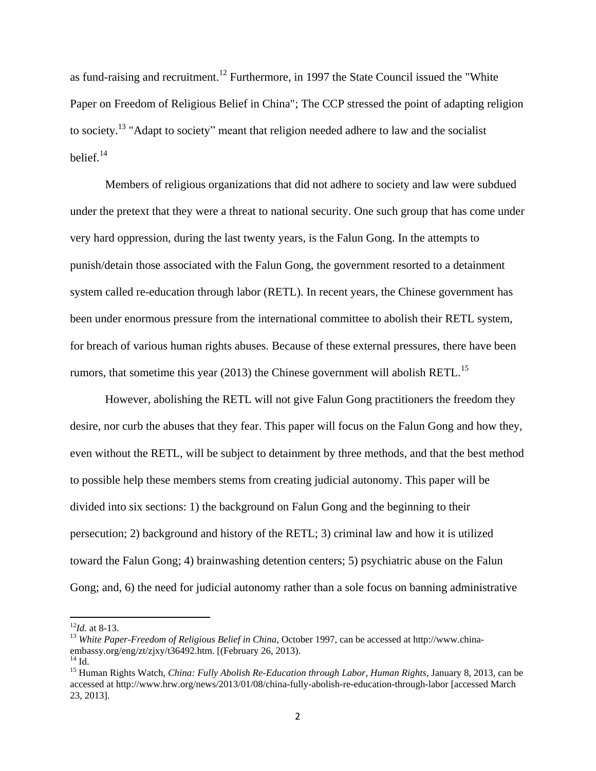as fund-raising and recruitment.<sup>12</sup> Furthermore, in 1997 the State Council issued the "White Paper on Freedom of Religious Belief in China"; The CCP stressed the point of adapting religion to society.<sup>13</sup> "Adapt to society" meant that religion needed adhere to law and the socialist belief. 14

Members of religious organizations that did not adhere to society and law were subdued under the pretext that they were a threat to national security. One such group that has come under very hard oppression, during the last twenty years, is the Falun Gong. In the attempts to punish/detain those associated with the Falun Gong, the government resorted to a detainment system called re-education through labor (RETL). In recent years, the Chinese government has been under enormous pressure from the international committee to abolish their RETL system, for breach of various human rights abuses. Because of these external pressures, there have been rumors, that sometime this year  $(2013)$  the Chinese government will abolish RETL.<sup>15</sup>

However, abolishing the RETL will not give Falun Gong practitioners the freedom they desire, nor curb the abuses that they fear. This paper will focus on the Falun Gong and how they, even without the RETL, will be subject to detainment by three methods, and that the best method to possible help these members stems from creating judicial autonomy. This paper will be divided into six sections: 1) the background on Falun Gong and the beginning to their persecution; 2) background and history of the RETL; 3) criminal law and how it is utilized toward the Falun Gong; 4) brainwashing detention centers; 5) psychiatric abuse on the Falun Gong; and, 6) the need for judicial autonomy rather than a sole focus on banning administrative

<sup>12</sup>*Id.* at 8-13.

<sup>13</sup> *White Paper-Freedom of Religious Belief in China*, October 1997, can be accessed at http://www.chinaembassy.org/eng/zt/zjxy/t36492.htm. [(February 26, 2013).  $^{14}$  Id.

<sup>15</sup> Human Rights Watch, *China: Fully Abolish Re-Education through Labor, Human Rights,* January 8, 2013, can be accessed at http://www.hrw.org/news/2013/01/08/china-fully-abolish-re-education-through-labor [accessed March 23, 2013].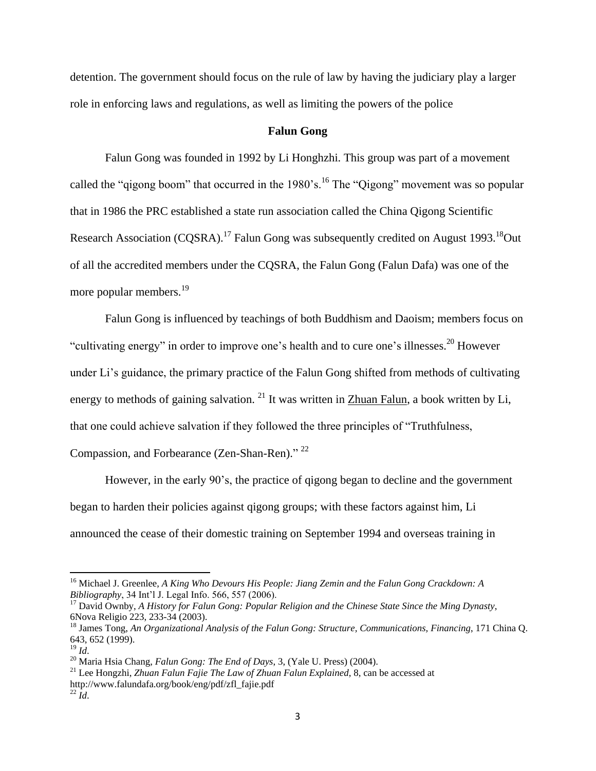detention. The government should focus on the rule of law by having the judiciary play a larger role in enforcing laws and regulations, as well as limiting the powers of the police

# **Falun Gong**

Falun Gong was founded in 1992 by Li Honghzhi. This group was part of a movement called the "gigong boom" that occurred in the  $1980$ 's.<sup>16</sup> The "Qigong" movement was so popular that in 1986 the PRC established a state run association called the China Qigong Scientific Research Association (COSRA).<sup>17</sup> Falun Gong was subsequently credited on August 1993.<sup>18</sup>Out of all the accredited members under the CQSRA, the Falun Gong (Falun Dafa) was one of the more popular members.<sup>19</sup>

Falun Gong is influenced by teachings of both Buddhism and Daoism; members focus on "cultivating energy" in order to improve one's health and to cure one's illnesses.<sup>20</sup> However under Li's guidance, the primary practice of the Falun Gong shifted from methods of cultivating energy to methods of gaining salvation. <sup>21</sup> It was written in Zhuan Falun, a book written by Li, that one could achieve salvation if they followed the three principles of "Truthfulness,

Compassion, and Forbearance (Zen-Shan-Ren)."<sup>22</sup>

However, in the early 90's, the practice of qigong began to decline and the government began to harden their policies against qigong groups; with these factors against him, Li announced the cease of their domestic training on September 1994 and overseas training in

<sup>16</sup> Michael J. Greenlee, *A King Who Devours His People: Jiang Zemin and the Falun Gong Crackdown: A Bibliography*, 34 Int'l J. Legal Info. 566, 557 (2006).

<sup>17</sup> David Ownby, *A History for Falun Gong: Popular Religion and the Chinese State Since the Ming Dynasty*, 6Nova Religio 223, 233-34 (2003).

<sup>18</sup> James Tong, *An Organizational Analysis of the Falun Gong: Structure, Communications, Financing*, 171 China Q. 643, 652 (1999).

<sup>19</sup> *Id*.

<sup>20</sup> Maria Hsia Chang, *Falun Gong: The End of Days*, 3, (Yale U. Press) (2004).

<sup>21</sup> Lee Hongzhi, *Zhuan Falun Fajie The Law of Zhuan Falun Explained*, 8, can be accessed at http://www.falundafa.org/book/eng/pdf/zfl\_fajie.pdf <sup>22</sup> *Id*.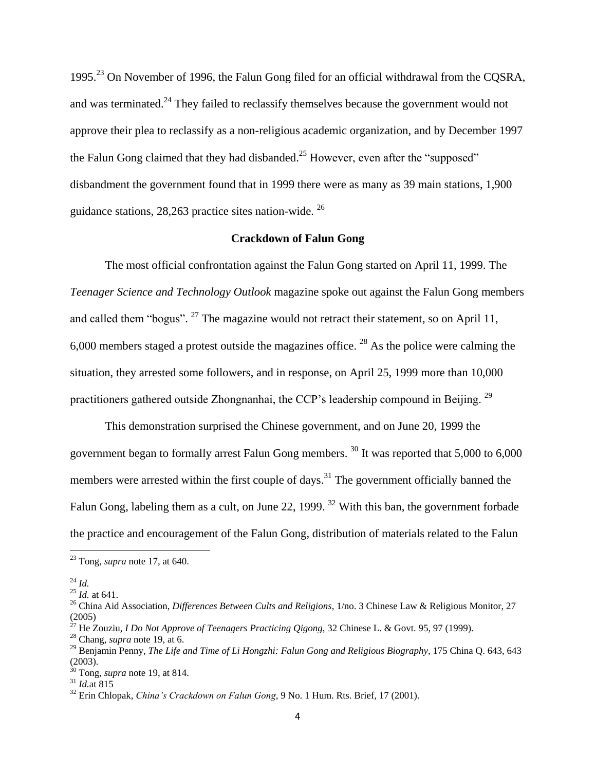1995.<sup>23</sup> On November of 1996, the Falun Gong filed for an official withdrawal from the CQSRA, and was terminated.<sup>24</sup> They failed to reclassify themselves because the government would not approve their plea to reclassify as a non-religious academic organization, and by December 1997 the Falun Gong claimed that they had disbanded.<sup>25</sup> However, even after the "supposed" disbandment the government found that in 1999 there were as many as 39 main stations, 1,900 guidance stations, 28,263 practice sites nation-wide.  $26$ 

# **Crackdown of Falun Gong**

The most official confrontation against the Falun Gong started on April 11, 1999. The *Teenager Science and Technology Outlook* magazine spoke out against the Falun Gong members and called them "bogus".  $27$  The magazine would not retract their statement, so on April 11,  $6,000$  members staged a protest outside the magazines office. <sup>28</sup> As the police were calming the situation, they arrested some followers, and in response, on April 25, 1999 more than 10,000 practitioners gathered outside Zhongnanhai, the CCP's leadership compound in Beijing. <sup>29</sup>

This demonstration surprised the Chinese government, and on June 20, 1999 the government began to formally arrest Falun Gong members.<sup>30</sup> It was reported that  $5,000$  to  $6,000$ members were arrested within the first couple of days.<sup>31</sup> The government officially banned the Falun Gong, labeling them as a cult, on June 22, 1999.<sup>32</sup> With this ban, the government forbade the practice and encouragement of the Falun Gong, distribution of materials related to the Falun

<sup>23</sup> Tong, *supra* note 17, at 640.

<sup>24</sup> *Id.*

<sup>25</sup> *Id.* at 641.

<sup>&</sup>lt;sup>26</sup> China Aid Association, *Differences Between Cults and Religions*, 1/no. 3 Chinese Law & Religious Monitor, 27  $(2005)$ 

<sup>27</sup> He Zouziu, *I Do Not Approve of Teenagers Practicing Qigong*, 32 Chinese L. & Govt. 95, 97 (1999).

<sup>28</sup> Chang, *supra* note 19, at 6.

<sup>29</sup> Benjamin Penny, *The Life and Time of Li Hongzhi: Falun Gong and Religious Biography*, 175 China Q. 643, 643 (2003).

<sup>30</sup> Tong, *supra* note 19, at 814.  $^{31}$  *Id.*at  $815$ 

<sup>32</sup> Erin Chlopak, *China's Crackdown on Falun Gong*, 9 No. 1 Hum. Rts. Brief, 17 (2001).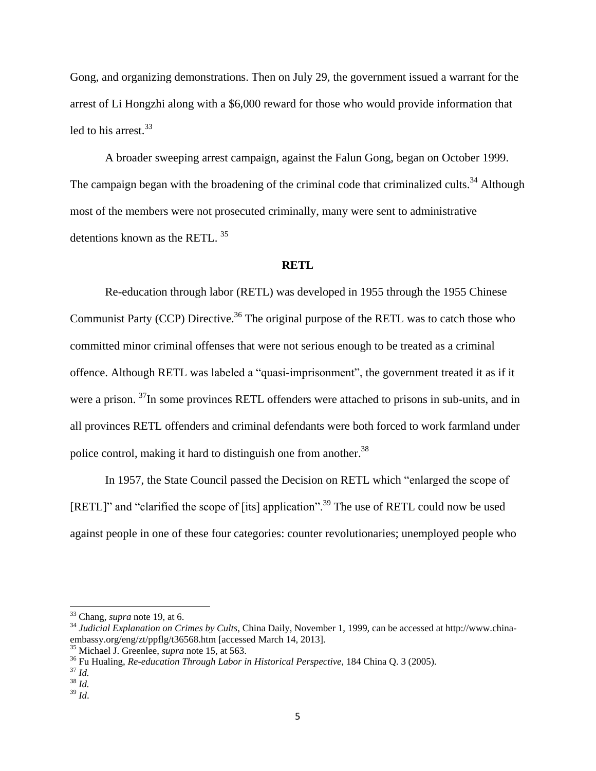Gong, and organizing demonstrations. Then on July 29, the government issued a warrant for the arrest of Li Hongzhi along with a \$6,000 reward for those who would provide information that led to his arrest.<sup>33</sup>

A broader sweeping arrest campaign, against the Falun Gong, began on October 1999. The campaign began with the broadening of the criminal code that criminalized cults.<sup>34</sup> Although most of the members were not prosecuted criminally, many were sent to administrative detentions known as the RETL.<sup>35</sup>

#### **RETL**

Re-education through labor (RETL) was developed in 1955 through the 1955 Chinese Communist Party (CCP) Directive.<sup>36</sup> The original purpose of the RETL was to catch those who committed minor criminal offenses that were not serious enough to be treated as a criminal offence. Although RETL was labeled a "quasi-imprisonment", the government treated it as if it were a prison. <sup>37</sup>In some provinces RETL offenders were attached to prisons in sub-units, and in all provinces RETL offenders and criminal defendants were both forced to work farmland under police control, making it hard to distinguish one from another.<sup>38</sup>

In 1957, the State Council passed the Decision on RETL which "enlarged the scope of [RETL]" and "clarified the scope of [its] application".<sup>39</sup> The use of RETL could now be used against people in one of these four categories: counter revolutionaries; unemployed people who

<sup>33</sup> Chang, *supra* note 19, at 6.

<sup>&</sup>lt;sup>34</sup> Judicial Explanation on Crimes by Cults, China Daily, November 1, 1999, can be accessed at http://www.chinaembassy.org/eng/zt/ppflg/t36568.htm [accessed March 14, 2013].

<sup>35</sup> Michael J. Greenlee, *supra* note 15, at 563.

<sup>36</sup> Fu Hualing, *Re-education Through Labor in Historical Perspective*, 184 China Q. 3 (2005).

<sup>37</sup> *Id.*

 $38 \overline{Id}$ .

<sup>39</sup> *Id*.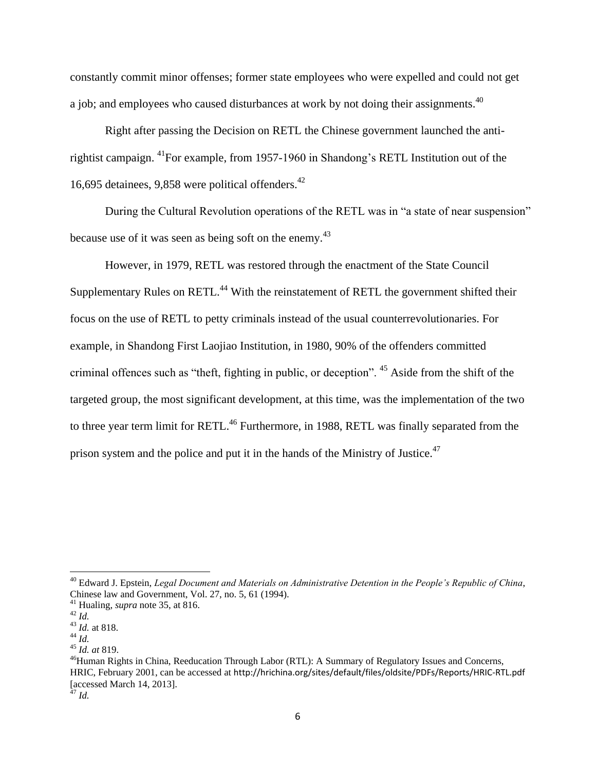constantly commit minor offenses; former state employees who were expelled and could not get a job; and employees who caused disturbances at work by not doing their assignments.<sup>40</sup>

Right after passing the Decision on RETL the Chinese government launched the antirightist campaign. <sup>41</sup>For example, from 1957-1960 in Shandong's RETL Institution out of the 16,695 detainees, 9,858 were political offenders. $42$ 

During the Cultural Revolution operations of the RETL was in "a state of near suspension" because use of it was seen as being soft on the enemy.<sup>43</sup>

However, in 1979, RETL was restored through the enactment of the State Council Supplementary Rules on RETL.<sup>44</sup> With the reinstatement of RETL the government shifted their focus on the use of RETL to petty criminals instead of the usual counterrevolutionaries. For example, in Shandong First Laojiao Institution, in 1980, 90% of the offenders committed criminal offences such as "theft, fighting in public, or deception". <sup>45</sup> Aside from the shift of the targeted group, the most significant development, at this time, was the implementation of the two to three year term limit for RETL.<sup>46</sup> Furthermore, in 1988, RETL was finally separated from the prison system and the police and put it in the hands of the Ministry of Justice.<sup>47</sup>

l

<sup>40</sup> Edward J. Epstein, *Legal Document and Materials on Administrative Detention in the People's Republic of China*, Chinese law and Government, Vol. 27, no. 5, 61 (1994).

<sup>41</sup> Hualing, *supra* note 35, at 816.

<sup>42</sup> *Id.*

<sup>43</sup> *Id.* at 818.

<sup>44</sup> *Id.*

<sup>45</sup> *Id. at* 819.

<sup>&</sup>lt;sup>46</sup>Human Rights in China, Reeducation Through Labor (RTL): A Summary of Regulatory Issues and Concerns, HRIC, February 2001, can be accessed at http://hrichina.org/sites/default/files/oldsite/PDFs/Reports/HRIC-RTL.pdf [accessed March 14, 2013].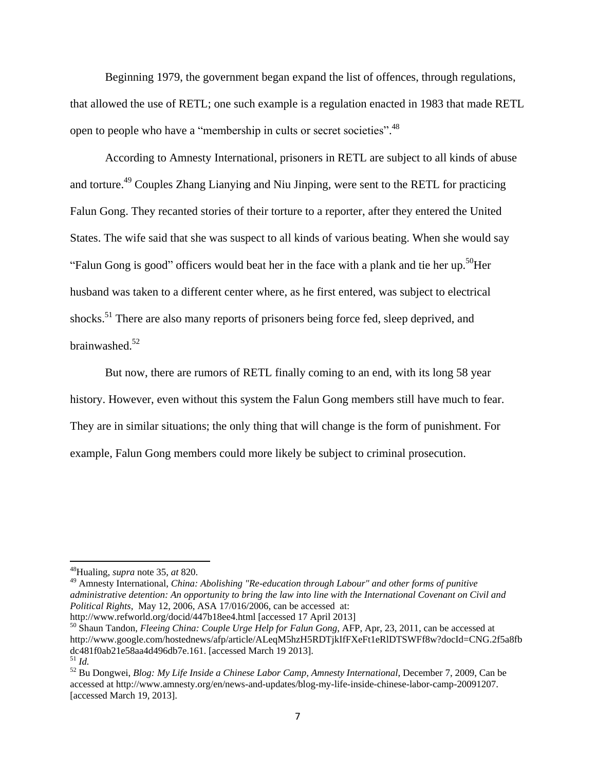Beginning 1979, the government began expand the list of offences, through regulations, that allowed the use of RETL; one such example is a regulation enacted in 1983 that made RETL open to people who have a "membership in cults or secret societies".<sup>48</sup>

According to Amnesty International, prisoners in RETL are subject to all kinds of abuse and torture.<sup>49</sup> Couples Zhang Lianying and Niu Jinping, were sent to the RETL for practicing Falun Gong. They recanted stories of their torture to a reporter, after they entered the United States. The wife said that she was suspect to all kinds of various beating. When she would say "Falun Gong is good" officers would beat her in the face with a plank and tie her up.<sup>50</sup>Her husband was taken to a different center where, as he first entered, was subject to electrical shocks.<sup>51</sup> There are also many reports of prisoners being force fed, sleep deprived, and brainwashed. 52

But now, there are rumors of RETL finally coming to an end, with its long 58 year history. However, even without this system the Falun Gong members still have much to fear. They are in similar situations; the only thing that will change is the form of punishment. For example, Falun Gong members could more likely be subject to criminal prosecution.

 $\overline{\phantom{a}}$ 

<sup>49</sup> Amnesty International, *China: Abolishing "Re-education through Labour" and other forms of punitive administrative detention: An opportunity to bring the law into line with the International Covenant on Civil and Political Rights*, May 12, 2006, ASA 17/016/2006, can be accessed at: http://www.refworld.org/docid/447b18ee4.html [accessed 17 April 2013]

<sup>48</sup>Hualing, *supra* note 35, *at* 820.

<sup>50</sup> Shaun Tandon, *Fleeing China: Couple Urge Help for Falun Gong*, AFP, Apr, 23, 2011, can be accessed at http://www.google.com/hostednews/afp/article/ALeqM5hzH5RDTjkIfFXeFt1eRlDTSWFf8w?docId=CNG.2f5a8fb dc481f0ab21e58aa4d496db7e.161. [accessed March 19 2013]. <sup>51</sup> *Id.*

<sup>52</sup> Bu Dongwei, *Blog: My Life Inside a Chinese Labor Camp, Amnesty International*, December 7, 2009, Can be accessed at http://www.amnesty.org/en/news-and-updates/blog-my-life-inside-chinese-labor-camp-20091207. [accessed March 19, 2013].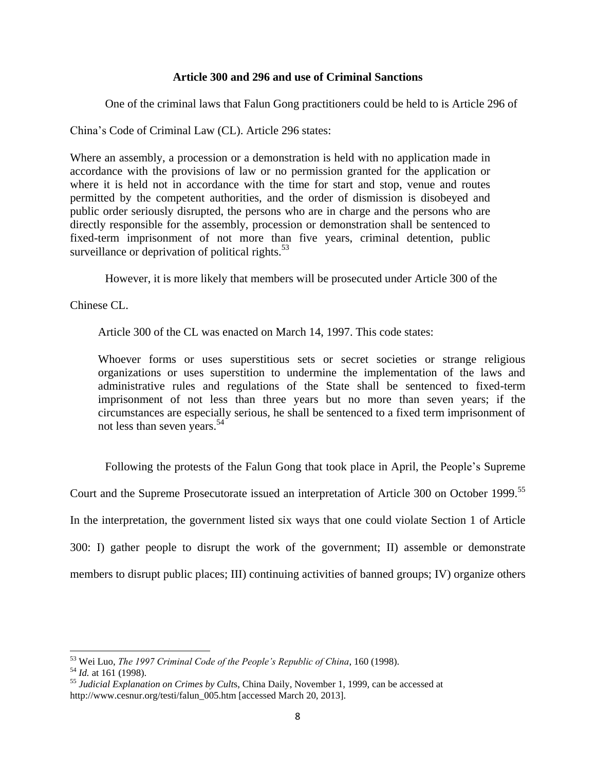# **Article 300 and 296 and use of Criminal Sanctions**

One of the criminal laws that Falun Gong practitioners could be held to is Article 296 of

China's Code of Criminal Law (CL). Article 296 states:

Where an assembly, a procession or a demonstration is held with no application made in accordance with the provisions of law or no permission granted for the application or where it is held not in accordance with the time for start and stop, venue and routes permitted by the competent authorities, and the order of dismission is disobeyed and public order seriously disrupted, the persons who are in charge and the persons who are directly responsible for the assembly, procession or demonstration shall be sentenced to fixed-term imprisonment of not more than five years, criminal detention, public surveillance or deprivation of political rights. $53$ 

However, it is more likely that members will be prosecuted under Article 300 of the

Chinese CL.

Article 300 of the CL was enacted on March 14, 1997. This code states:

Whoever forms or uses superstitious sets or secret societies or strange religious organizations or uses superstition to undermine the implementation of the laws and administrative rules and regulations of the State shall be sentenced to fixed-term imprisonment of not less than three years but no more than seven years; if the circumstances are especially serious, he shall be sentenced to a fixed term imprisonment of not less than seven years.<sup>54</sup>

Following the protests of the Falun Gong that took place in April, the People's Supreme

Court and the Supreme Prosecutorate issued an interpretation of Article 300 on October 1999.<sup>55</sup>

In the interpretation, the government listed six ways that one could violate Section 1 of Article

300: I) gather people to disrupt the work of the government; II) assemble or demonstrate

members to disrupt public places; III) continuing activities of banned groups; IV) organize others

<sup>53</sup> Wei Luo, *The 1997 Criminal Code of the People's Republic of China*, 160 (1998).

<sup>54</sup> *Id.* at 161 (1998).

<sup>55</sup> *Judicial Explanation on Crimes by Cult*s, China Daily, November 1, 1999, can be accessed at http://www.cesnur.org/testi/falun\_005.htm [accessed March 20, 2013].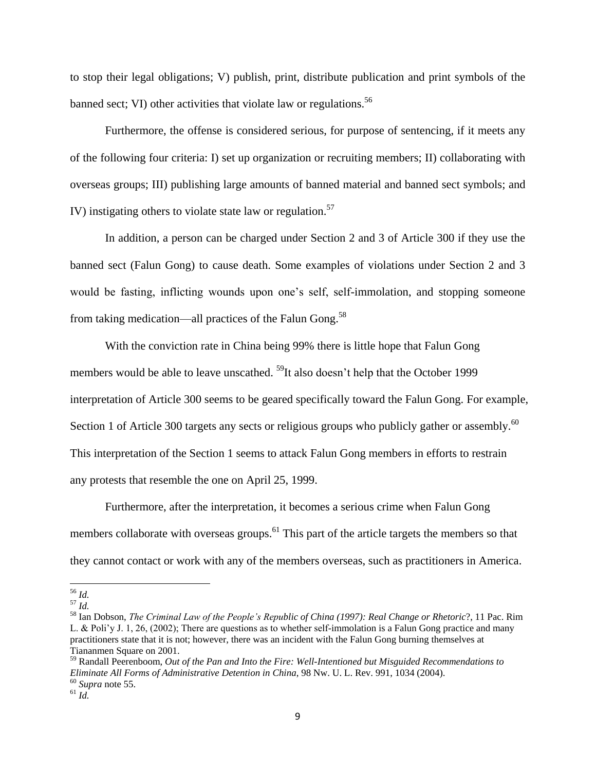to stop their legal obligations; V) publish, print, distribute publication and print symbols of the banned sect; VI) other activities that violate law or regulations.<sup>56</sup>

Furthermore, the offense is considered serious, for purpose of sentencing, if it meets any of the following four criteria: I) set up organization or recruiting members; II) collaborating with overseas groups; III) publishing large amounts of banned material and banned sect symbols; and IV) instigating others to violate state law or regulation.<sup>57</sup>

In addition, a person can be charged under Section 2 and 3 of Article 300 if they use the banned sect (Falun Gong) to cause death. Some examples of violations under Section 2 and 3 would be fasting, inflicting wounds upon one's self, self-immolation, and stopping someone from taking medication—all practices of the Falun Gong.<sup>58</sup>

With the conviction rate in China being 99% there is little hope that Falun Gong members would be able to leave unscathed.  $^{59}$ It also doesn't help that the October 1999 interpretation of Article 300 seems to be geared specifically toward the Falun Gong. For example, Section 1 of Article 300 targets any sects or religious groups who publicly gather or assembly.<sup>60</sup> This interpretation of the Section 1 seems to attack Falun Gong members in efforts to restrain any protests that resemble the one on April 25, 1999.

Furthermore, after the interpretation, it becomes a serious crime when Falun Gong members collaborate with overseas groups.<sup>61</sup> This part of the article targets the members so that they cannot contact or work with any of the members overseas, such as practitioners in America.

<sup>59</sup> Randall Peerenboom, *Out of the Pan and Into the Fire: Well-Intentioned but Misguided Recommendations to Eliminate All Forms of Administrative Detention in China*, 98 Nw. U. L. Rev. 991, 1034 (2004). <sup>60</sup> *Supra* note 55.

 $\overline{\phantom{a}}$ <sup>56</sup> *Id.*

<sup>57</sup> *Id.*

<sup>58</sup> Ian Dobson, *The Criminal Law of the People's Republic of China (1997): Real Change or Rhetoric*?, 11 Pac. Rim L. & Poli'y J. 1, 26, (2002); There are questions as to whether self-immolation is a Falun Gong practice and many practitioners state that it is not; however, there was an incident with the Falun Gong burning themselves at Tiananmen Square on 2001.

 $^{61}$  *Id.*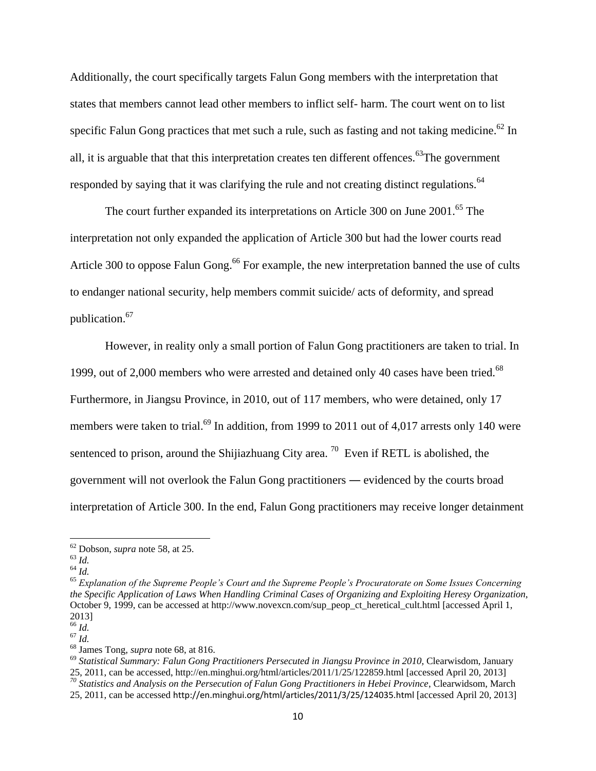Additionally, the court specifically targets Falun Gong members with the interpretation that states that members cannot lead other members to inflict self- harm. The court went on to list specific Falun Gong practices that met such a rule, such as fasting and not taking medicine.<sup>62</sup> In all, it is arguable that that this interpretation creates ten different offences.<sup>63</sup>The government responded by saying that it was clarifying the rule and not creating distinct regulations.<sup>64</sup>

The court further expanded its interpretations on Article 300 on June 2001.<sup>65</sup> The interpretation not only expanded the application of Article 300 but had the lower courts read Article 300 to oppose Falun Gong.<sup>66</sup> For example, the new interpretation banned the use of cults to endanger national security, help members commit suicide/ acts of deformity, and spread publication. 67

However, in reality only a small portion of Falun Gong practitioners are taken to trial. In 1999, out of 2,000 members who were arrested and detained only 40 cases have been tried.<sup>68</sup> Furthermore, in Jiangsu Province, in 2010, out of 117 members, who were detained, only 17 members were taken to trial.<sup>69</sup> In addition, from 1999 to 2011 out of 4,017 arrests only 140 were sentenced to prison, around the Shijiazhuang City area.  $\frac{70}{10}$  Even if RETL is abolished, the government will not overlook the Falun Gong practitioners ― evidenced by the courts broad interpretation of Article 300. In the end, Falun Gong practitioners may receive longer detainment

l

<sup>62</sup> Dobson, *supra* note 58, at 25.

 $^{63}$  *Id.* 

 $^{64}$  *Id.* 

<sup>65</sup> *Explanation of the Supreme People's Court and the Supreme People's Procuratorate on Some Issues Concerning the Specific Application of Laws When Handling Criminal Cases of Organizing and Exploiting Heresy Organization*, October 9, 1999, can be accessed at http://www.novexcn.com/sup\_peop\_ct\_heretical\_cult.html [accessed April 1, 2013]

<sup>66</sup> *Id.*

 $67 \overline{Id}$ .

<sup>68</sup> James Tong, *supra* note 68, at 816.

<sup>69</sup> *Statistical Summary: Falun Gong Practitioners Persecuted in Jiangsu Province in 2010,* Clearwisdom, January 25, 2011, can be accessed, http://en.minghui.org/html/articles/2011/1/25/122859.html [accessed April 20, 2013] *<sup>70</sup> Statistics and Analysis on the Persecution of Falun Gong Practitioners in Hebei Province*, Clearwidsom, March 25, 2011, can be accessed http://en.minghui.org/html/articles/2011/3/25/124035.html [accessed April 20, 2013]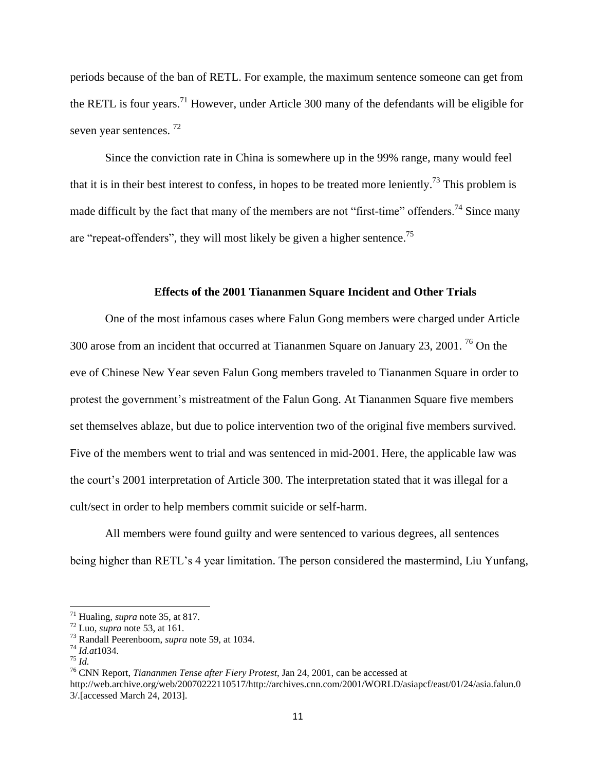periods because of the ban of RETL. For example, the maximum sentence someone can get from the RETL is four years.<sup>71</sup> However, under Article 300 many of the defendants will be eligible for seven year sentences.<sup>72</sup>

Since the conviction rate in China is somewhere up in the 99% range, many would feel that it is in their best interest to confess, in hopes to be treated more leniently.<sup>73</sup> This problem is made difficult by the fact that many of the members are not "first-time" offenders.<sup>74</sup> Since many are "repeat-offenders", they will most likely be given a higher sentence.<sup>75</sup>

#### **Effects of the 2001 Tiananmen Square Incident and Other Trials**

One of the most infamous cases where Falun Gong members were charged under Article 300 arose from an incident that occurred at Tiananmen Square on January 23, 2001. <sup>76</sup> On the eve of Chinese New Year seven Falun Gong members traveled to Tiananmen Square in order to protest the government's mistreatment of the Falun Gong. At Tiananmen Square five members set themselves ablaze, but due to police intervention two of the original five members survived. Five of the members went to trial and was sentenced in mid-2001. Here, the applicable law was the court's 2001 interpretation of Article 300. The interpretation stated that it was illegal for a cult/sect in order to help members commit suicide or self-harm.

All members were found guilty and were sentenced to various degrees, all sentences being higher than RETL's 4 year limitation. The person considered the mastermind, Liu Yunfang,

 $\overline{a}$ 

<sup>76</sup> CNN Report, *Tiananmen Tense after Fiery Protest*, Jan 24, 2001, can be accessed at http://web.archive.org/web/20070222110517/http://archives.cnn.com/2001/WORLD/asiapcf/east/01/24/asia.falun.0 3/.[accessed March 24, 2013].

<sup>71</sup> Hualing, *supra* note 35, at 817.

<sup>72</sup> Luo, *supra* note 53, at 161.

<sup>73</sup> Randall Peerenboom, *supra* note 59, at 1034.

<sup>74</sup> *Id.at*1034.

<sup>75</sup> *Id.*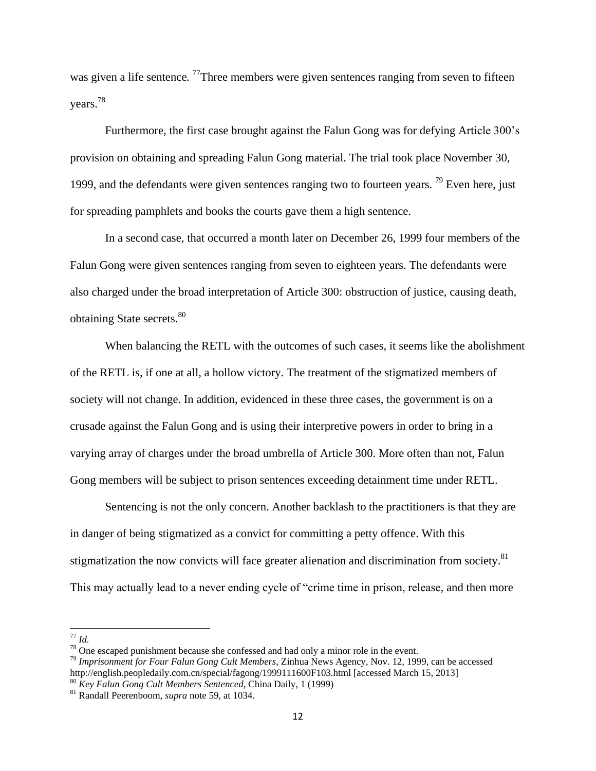was given a life sentence. <sup>77</sup>Three members were given sentences ranging from seven to fifteen years.<sup>78</sup>

Furthermore, the first case brought against the Falun Gong was for defying Article 300's provision on obtaining and spreading Falun Gong material. The trial took place November 30, 1999, and the defendants were given sentences ranging two to fourteen years. <sup>79</sup> Even here, just for spreading pamphlets and books the courts gave them a high sentence.

In a second case, that occurred a month later on December 26, 1999 four members of the Falun Gong were given sentences ranging from seven to eighteen years. The defendants were also charged under the broad interpretation of Article 300: obstruction of justice, causing death, obtaining State secrets.<sup>80</sup>

When balancing the RETL with the outcomes of such cases, it seems like the abolishment of the RETL is, if one at all, a hollow victory. The treatment of the stigmatized members of society will not change. In addition, evidenced in these three cases, the government is on a crusade against the Falun Gong and is using their interpretive powers in order to bring in a varying array of charges under the broad umbrella of Article 300. More often than not, Falun Gong members will be subject to prison sentences exceeding detainment time under RETL.

Sentencing is not the only concern. Another backlash to the practitioners is that they are in danger of being stigmatized as a convict for committing a petty offence. With this stigmatization the now convicts will face greater alienation and discrimination from society.<sup>81</sup> This may actually lead to a never ending cycle of "crime time in prison, release, and then more

 $\overline{\phantom{a}}$ <sup>77</sup> *Id.*

 $78$  One escaped punishment because she confessed and had only a minor role in the event.

<sup>79</sup> *Imprisonment for Four Falun Gong Cult Members*, Zinhua News Agency, Nov. 12, 1999, can be accessed http://english.peopledaily.com.cn/special/fagong/1999111600F103.html [accessed March 15, 2013]

<sup>80</sup> *Key Falun Gong Cult Members Sentenced*, China Daily, 1 (1999)

<sup>81</sup> Randall Peerenboom, *supra* note 59, at 1034.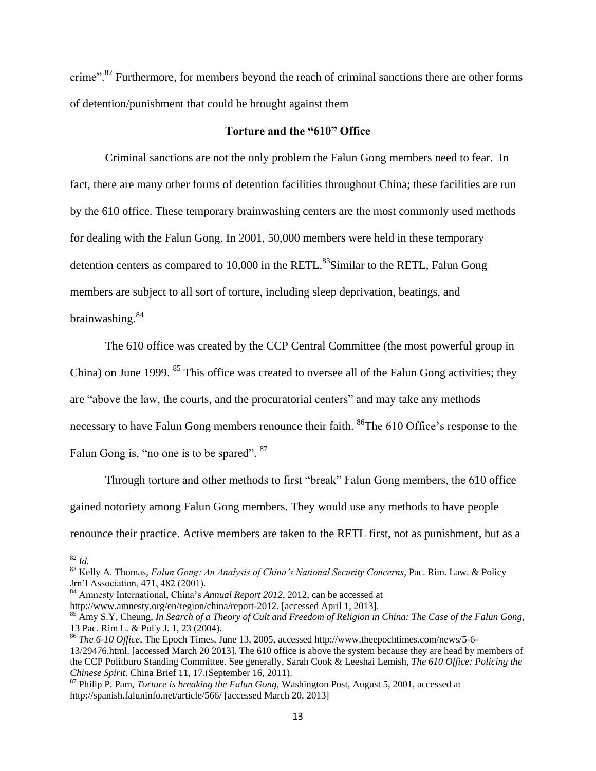crime".<sup>82</sup> Furthermore, for members beyond the reach of criminal sanctions there are other forms of detention/punishment that could be brought against them

# **Torture and the "610" Office**

Criminal sanctions are not the only problem the Falun Gong members need to fear. In fact, there are many other forms of detention facilities throughout China; these facilities are run by the 610 office. These temporary brainwashing centers are the most commonly used methods for dealing with the Falun Gong. In 2001, 50,000 members were held in these temporary detention centers as compared to  $10,000$  in the RETL.<sup>83</sup>Similar to the RETL, Falun Gong members are subject to all sort of torture, including sleep deprivation, beatings, and brainwashing.<sup>84</sup>

The 610 office was created by the CCP Central Committee (the most powerful group in China) on June 1999. <sup>85</sup> This office was created to oversee all of the Falun Gong activities; they are "above the law, the courts, and the procuratorial centers" and may take any methods necessary to have Falun Gong members renounce their faith. <sup>86</sup>The 610 Office's response to the Falun Gong is, "no one is to be spared". <sup>87</sup>

Through torture and other methods to first "break" Falun Gong members, the 610 office gained notoriety among Falun Gong members. They would use any methods to have people renounce their practice. Active members are taken to the RETL first, not as punishment, but as a

<sup>82</sup> *Id.*

<sup>83</sup> Kelly A. Thomas, *Falun Gong: An Analysis of China's National Security Concerns*, Pac. Rim. Law. & Policy Jrn'l Association, 471, 482 (2001).

<sup>84</sup> Amnesty International, China's *Annual Report 2012*, 2012, can be accessed at

http://www.amnesty.org/en/region/china/report-2012. [accessed April 1, 2013].

<sup>85</sup> Amy S.Y, Cheung, *In Search of a Theory of Cult and Freedom of Religion in China: The Case of the Falun Gong*, 13 Pac. Rim L. & Pol'y J. 1, 23 (2004).

<sup>86</sup> *The 6-10 Office*, The Epoch Times, June 13, 2005, accessed http://www.theepochtimes.com/news/5-6- 13/29476.html. [accessed March 20 2013]. The 610 office is above the system because they are head by members of the CCP Politburo Standing Committee. See generally, Sarah Cook & Leeshai Lemish, *The 610 Office: Policing the Chinese Spirit*. China Brief 11, 17.(September 16, 2011).

<sup>87</sup> Philip P. Pam, *Torture is breaking the Falun Gong*, Washington Post, August 5, 2001, accessed at http://spanish.faluninfo.net/article/566/ [accessed March 20, 2013]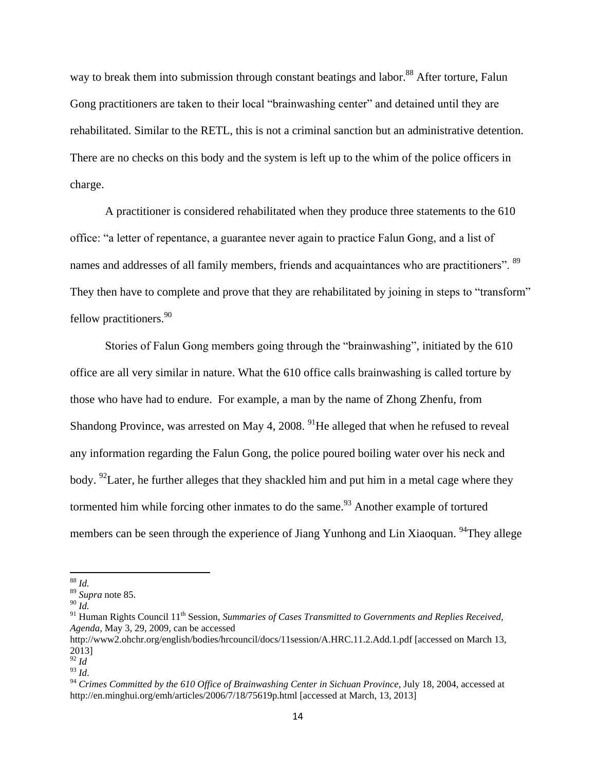way to break them into submission through constant beatings and labor.<sup>88</sup> After torture, Falun Gong practitioners are taken to their local "brainwashing center" and detained until they are rehabilitated. Similar to the RETL, this is not a criminal sanction but an administrative detention. There are no checks on this body and the system is left up to the whim of the police officers in charge.

A practitioner is considered rehabilitated when they produce three statements to the 610 office: "a letter of repentance, a guarantee never again to practice Falun Gong, and a list of names and addresses of all family members, friends and acquaintances who are practitioners". <sup>89</sup> They then have to complete and prove that they are rehabilitated by joining in steps to "transform" fellow practitioners.  $90^\circ$ 

Stories of Falun Gong members going through the "brainwashing", initiated by the 610 office are all very similar in nature. What the 610 office calls brainwashing is called torture by those who have had to endure. For example, a man by the name of Zhong Zhenfu, from Shandong Province, was arrested on May 4, 2008.  $91$ He alleged that when he refused to reveal any information regarding the Falun Gong, the police poured boiling water over his neck and body. <sup>92</sup> Later, he further alleges that they shackled him and put him in a metal cage where they tormented him while forcing other inmates to do the same.<sup>93</sup> Another example of tortured members can be seen through the experience of Jiang Yunhong and Lin Xiaoquan. <sup>94</sup>They allege

<sup>88</sup> *Id.*

<sup>89</sup> *Supra* note 85.

<sup>90</sup> *Id.*

<sup>&</sup>lt;sup>91</sup> Human Rights Council 11<sup>th</sup> Session, *Summaries of Cases Transmitted to Governments and Replies Received, Agenda,* May 3, 29, 2009, can be accessed

http://www2.ohchr.org/english/bodies/hrcouncil/docs/11session/A.HRC.11.2.Add.1.pdf [accessed on March 13, 2013]

 $\overline{92}$  *Id* 

 $\frac{14}{93}$  *Id.* 

<sup>&</sup>lt;sup>94</sup> Crimes Committed by the 610 Office of Brainwashing Center in Sichuan Province, July 18, 2004, accessed at http://en.minghui.org/emh/articles/2006/7/18/75619p.html [accessed at March, 13, 2013]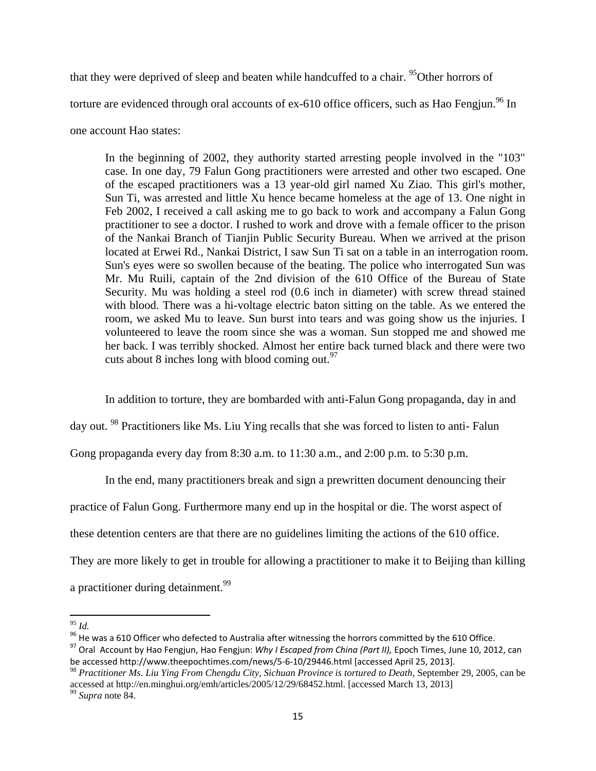that they were deprived of sleep and beaten while handcuffed to a chair. <sup>95</sup>Other horrors of torture are evidenced through oral accounts of ex-610 office officers, such as Hao Fengjun.<sup>96</sup> In one account Hao states:

In the beginning of 2002, they authority started arresting people involved in the "103" case. In one day, 79 Falun Gong practitioners were arrested and other two escaped. One of the escaped practitioners was a 13 year-old girl named Xu Ziao. This girl's mother, Sun Ti, was arrested and little Xu hence became homeless at the age of 13. One night in Feb 2002, I received a call asking me to go back to work and accompany a Falun Gong practitioner to see a doctor. I rushed to work and drove with a female officer to the prison of the Nankai Branch of Tianjin Public Security Bureau. When we arrived at the prison located at Erwei Rd., Nankai District, I saw Sun Ti sat on a table in an interrogation room. Sun's eyes were so swollen because of the beating. The police who interrogated Sun was Mr. Mu Ruili, captain of the 2nd division of the 610 Office of the Bureau of State Security. Mu was holding a steel rod (0.6 inch in diameter) with screw thread stained with blood. There was a hi-voltage electric baton sitting on the table. As we entered the room, we asked Mu to leave. Sun burst into tears and was going show us the injuries. I volunteered to leave the room since she was a woman. Sun stopped me and showed me her back. I was terribly shocked. Almost her entire back turned black and there were two cuts about 8 inches long with blood coming out. $97$ 

In addition to torture, they are bombarded with anti-Falun Gong propaganda, day in and

day out. <sup>98</sup> Practitioners like Ms. Liu Ying recalls that she was forced to listen to anti- Falun

Gong propaganda every day from 8:30 a.m. to 11:30 a.m., and 2:00 p.m. to 5:30 p.m.

In the end, many practitioners break and sign a prewritten document denouncing their

practice of Falun Gong. Furthermore many end up in the hospital or die. The worst aspect of

these detention centers are that there are no guidelines limiting the actions of the 610 office.

They are more likely to get in trouble for allowing a practitioner to make it to Beijing than killing

a practitioner during detainment.<sup>99</sup>

 $\overline{a}$ <sup>95</sup> *Id.*

<sup>&</sup>lt;sup>96</sup> He was a 610 Officer who defected to Australia after witnessing the horrors committed by the 610 Office.

<sup>97</sup> Oral Account by Hao Fengjun, Hao Fengjun: *Why I Escaped from China (Part II),* Epoch Times, June 10, 2012, can be accessed http://www.theepochtimes.com/news/5-6-10/29446.html [accessed April 25, 2013].

<sup>98</sup> *Practitioner Ms. Liu Ying From Chengdu City, Sichuan Province is tortured to Death*, September 29, 2005, can be accessed at http://en.minghui.org/emh/articles/2005/12/29/68452.html. [accessed March 13, 2013]

<sup>99</sup> *Supra* note 84.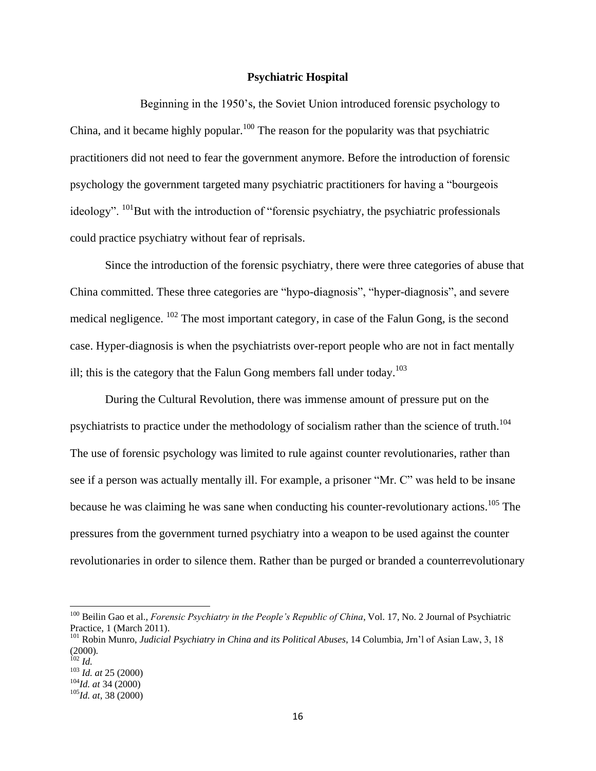# **Psychiatric Hospital**

Beginning in the 1950's, the Soviet Union introduced forensic psychology to China, and it became highly popular.<sup>100</sup> The reason for the popularity was that psychiatric practitioners did not need to fear the government anymore. Before the introduction of forensic psychology the government targeted many psychiatric practitioners for having a "bourgeois ideology".  $^{101}$ But with the introduction of "forensic psychiatry, the psychiatric professionals could practice psychiatry without fear of reprisals.

Since the introduction of the forensic psychiatry, there were three categories of abuse that China committed. These three categories are "hypo-diagnosis", "hyper-diagnosis", and severe medical negligence. <sup>102</sup> The most important category, in case of the Falun Gong, is the second case. Hyper-diagnosis is when the psychiatrists over-report people who are not in fact mentally ill; this is the category that the Falun Gong members fall under today.<sup>103</sup>

During the Cultural Revolution, there was immense amount of pressure put on the psychiatrists to practice under the methodology of socialism rather than the science of truth.<sup>104</sup> The use of forensic psychology was limited to rule against counter revolutionaries, rather than see if a person was actually mentally ill. For example, a prisoner "Mr. C" was held to be insane because he was claiming he was sane when conducting his counter-revolutionary actions.<sup>105</sup> The pressures from the government turned psychiatry into a weapon to be used against the counter revolutionaries in order to silence them. Rather than be purged or branded a counterrevolutionary

<sup>100</sup> Beilin Gao et al., *Forensic Psychiatry in the People's Republic of China*, Vol. 17, No. 2 Journal of Psychiatric Practice, 1 (March 2011).

<sup>101</sup> Robin Munro, *Judicial Psychiatry in China and its Political Abuses*, 14 Columbia, Jrn'l of Asian Law, 3, 18 (2000)*.*

<sup>102</sup> *Id.* <sup>103</sup> *Id. at* 25 (2000)

<sup>104</sup>*Id. at* 34 (2000)

<sup>105</sup>*Id. at*, 38 (2000)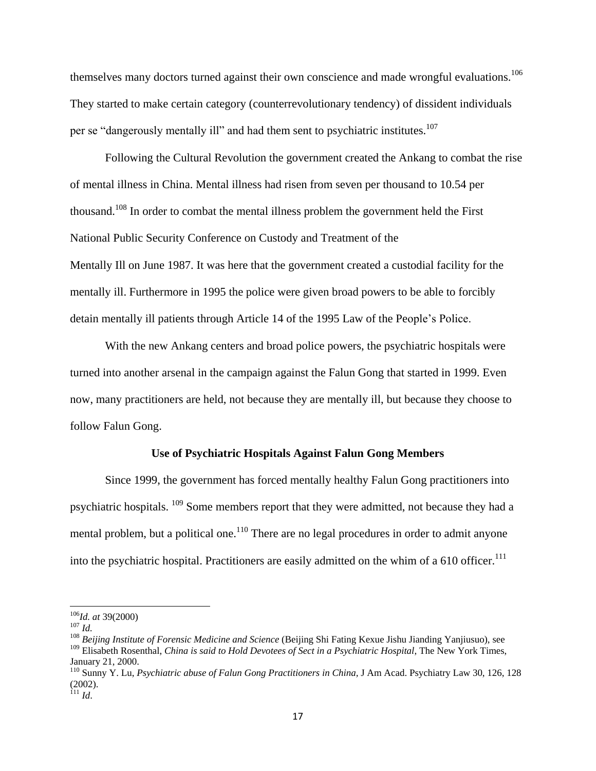themselves many doctors turned against their own conscience and made wrongful evaluations.<sup>106</sup> They started to make certain category (counterrevolutionary tendency) of dissident individuals per se "dangerously mentally ill" and had them sent to psychiatric institutes.<sup>107</sup>

Following the Cultural Revolution the government created the Ankang to combat the rise of mental illness in China. Mental illness had risen from seven per thousand to 10.54 per thousand.<sup>108</sup> In order to combat the mental illness problem the government held the First National Public Security Conference on Custody and Treatment of the Mentally Ill on June 1987. It was here that the government created a custodial facility for the mentally ill. Furthermore in 1995 the police were given broad powers to be able to forcibly detain mentally ill patients through Article 14 of the 1995 Law of the People's Police.

With the new Ankang centers and broad police powers, the psychiatric hospitals were turned into another arsenal in the campaign against the Falun Gong that started in 1999. Even now, many practitioners are held, not because they are mentally ill, but because they choose to follow Falun Gong.

# **Use of Psychiatric Hospitals Against Falun Gong Members**

Since 1999, the government has forced mentally healthy Falun Gong practitioners into psychiatric hospitals. <sup>109</sup> Some members report that they were admitted, not because they had a mental problem, but a political one.<sup>110</sup> There are no legal procedures in order to admit anyone into the psychiatric hospital. Practitioners are easily admitted on the whim of a 610 officer.<sup>111</sup>

<sup>106</sup>*Id. at* 39(2000)

<sup>107</sup> *Id.*

<sup>108</sup> *Beijing Institute of Forensic Medicine and Science* (Beijing Shi Fating Kexue Jishu Jianding Yanjiusuo), see <sup>109</sup> Elisabeth Rosenthal, *China is said to Hold Devotees of Sect in a Psychiatric Hospital*, The New York Times, January 21, 2000.

<sup>&</sup>lt;sup>110</sup> Sunny Y. Lu, *Psychiatric abuse of Falun Gong Practitioners in China*, J Am Acad. Psychiatry Law 30, 126, 128 (2002).

<sup>111</sup> *Id*.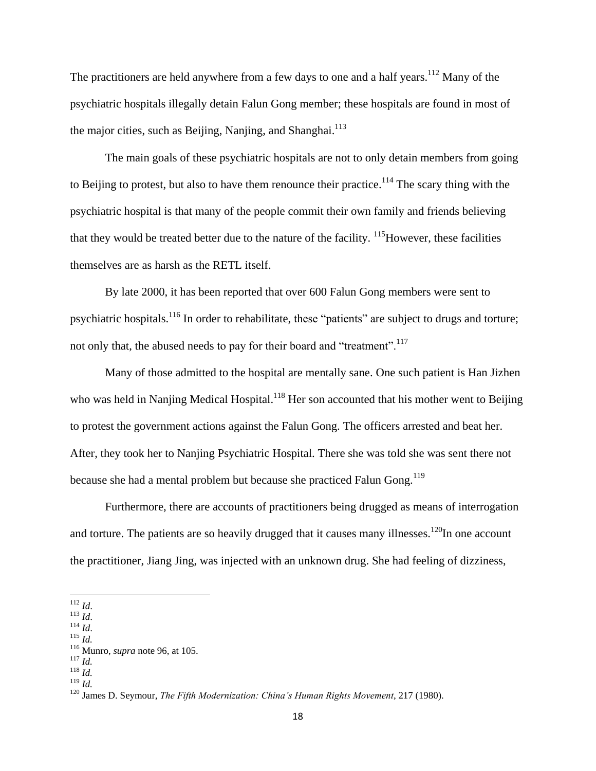The practitioners are held anywhere from a few days to one and a half years.<sup>112</sup> Many of the psychiatric hospitals illegally detain Falun Gong member; these hospitals are found in most of the major cities, such as Beijing, Nanjing, and Shanghai.<sup>113</sup>

The main goals of these psychiatric hospitals are not to only detain members from going to Beijing to protest, but also to have them renounce their practice.<sup>114</sup> The scary thing with the psychiatric hospital is that many of the people commit their own family and friends believing that they would be treated better due to the nature of the facility.  $\frac{115}{100}$  However, these facilities themselves are as harsh as the RETL itself.

By late 2000, it has been reported that over 600 Falun Gong members were sent to psychiatric hospitals.<sup>116</sup> In order to rehabilitate, these "patients" are subject to drugs and torture; not only that, the abused needs to pay for their board and "treatment".<sup>117</sup>

Many of those admitted to the hospital are mentally sane. One such patient is Han Jizhen who was held in Nanjing Medical Hospital.<sup>118</sup> Her son accounted that his mother went to Beijing to protest the government actions against the Falun Gong. The officers arrested and beat her. After, they took her to Nanjing Psychiatric Hospital. There she was told she was sent there not because she had a mental problem but because she practiced Falun Gong.<sup>119</sup>

Furthermore, there are accounts of practitioners being drugged as means of interrogation and torture. The patients are so heavily drugged that it causes many illnesses.<sup>120</sup>In one account the practitioner, Jiang Jing, was injected with an unknown drug. She had feeling of dizziness,

<sup>112</sup> *Id*.

<sup>113</sup> *Id*.

<sup>114</sup> *Id*. <sup>115</sup> *Id.*

<sup>116</sup> Munro, *supra* note 96, at 105.

<sup>117</sup> *Id.* <sup>118</sup> *Id.*

<sup>119</sup> *Id.*

<sup>120</sup> James D. Seymour, *The Fifth Modernization: China's Human Rights Movement*, 217 (1980).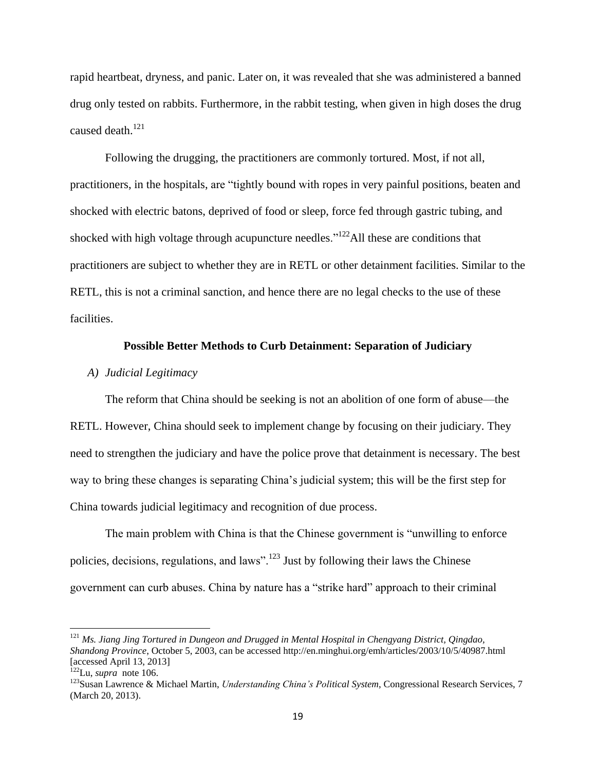rapid heartbeat, dryness, and panic. Later on, it was revealed that she was administered a banned drug only tested on rabbits. Furthermore, in the rabbit testing, when given in high doses the drug caused death.<sup>121</sup>

Following the drugging, the practitioners are commonly tortured. Most, if not all, practitioners, in the hospitals, are "tightly bound with ropes in very painful positions, beaten and shocked with electric batons, deprived of food or sleep, force fed through gastric tubing, and shocked with high voltage through acupuncture needles." $122$ All these are conditions that practitioners are subject to whether they are in RETL or other detainment facilities. Similar to the RETL, this is not a criminal sanction, and hence there are no legal checks to the use of these facilities.

# **Possible Better Methods to Curb Detainment: Separation of Judiciary**

#### *A) Judicial Legitimacy*

The reform that China should be seeking is not an abolition of one form of abuse—the RETL. However, China should seek to implement change by focusing on their judiciary. They need to strengthen the judiciary and have the police prove that detainment is necessary. The best way to bring these changes is separating China's judicial system; this will be the first step for China towards judicial legitimacy and recognition of due process.

The main problem with China is that the Chinese government is "unwilling to enforce policies, decisions, regulations, and laws".<sup>123</sup> Just by following their laws the Chinese government can curb abuses. China by nature has a "strike hard" approach to their criminal

<sup>121</sup> *Ms. Jiang Jing Tortured in Dungeon and Drugged in Mental Hospital in Chengyang District, Qingdao, Shandong Province*, October 5, 2003, can be accessed http://en.minghui.org/emh/articles/2003/10/5/40987.html [accessed April 13, 2013]

 $122$ Lu, *supra* note 106.

<sup>123</sup>Susan Lawrence & Michael Martin, *Understanding China's Political System*, Congressional Research Services, 7 (March 20, 2013).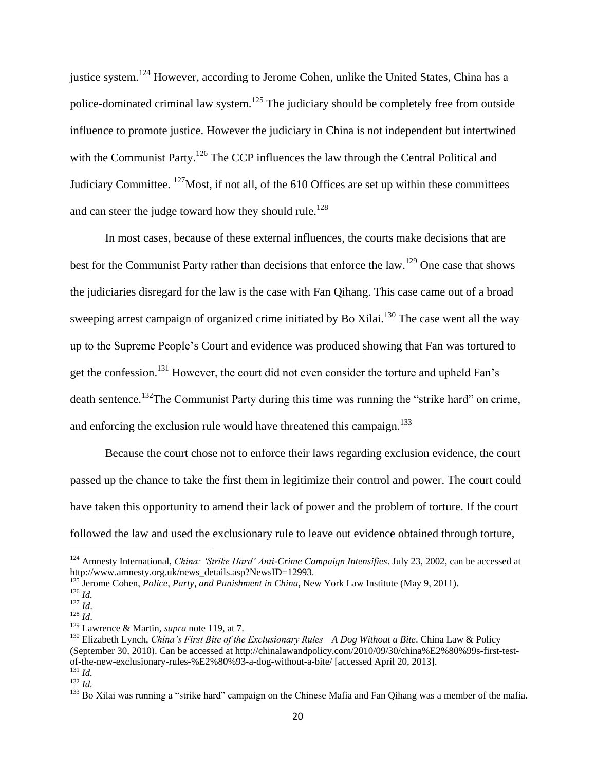justice system.<sup>124</sup> However, according to Jerome Cohen, unlike the United States, China has a police-dominated criminal law system.<sup>125</sup> The judiciary should be completely free from outside influence to promote justice. However the judiciary in China is not independent but intertwined with the Communist Party.<sup>126</sup> The CCP influences the law through the Central Political and Judiciary Committee.  $^{127}$ Most, if not all, of the 610 Offices are set up within these committees and can steer the judge toward how they should rule.<sup>128</sup>

In most cases, because of these external influences, the courts make decisions that are best for the Communist Party rather than decisions that enforce the law.<sup>129</sup> One case that shows the judiciaries disregard for the law is the case with Fan Qihang. This case came out of a broad sweeping arrest campaign of organized crime initiated by Bo Xilai.<sup>130</sup> The case went all the way up to the Supreme People's Court and evidence was produced showing that Fan was tortured to get the confession.<sup>131</sup> However, the court did not even consider the torture and upheld Fan's death sentence.<sup>132</sup>The Communist Party during this time was running the "strike hard" on crime, and enforcing the exclusion rule would have threatened this campaign.<sup>133</sup>

Because the court chose not to enforce their laws regarding exclusion evidence, the court passed up the chance to take the first them in legitimize their control and power. The court could have taken this opportunity to amend their lack of power and the problem of torture. If the court followed the law and used the exclusionary rule to leave out evidence obtained through torture,

<sup>124</sup> Amnesty International, *China: 'Strike Hard' Anti-Crime Campaign Intensifies*. July 23, 2002, can be accessed at http://www.amnesty.org.uk/news\_details.asp?NewsID=12993.

<sup>&</sup>lt;sup>125</sup> Jerome Cohen, *Police, Party, and Punishment in China*, New York Law Institute (May 9, 2011).

<sup>126</sup> *Id.*

<sup>127</sup> *Id*.

<sup>128</sup> *Id*.

<sup>129</sup> Lawrence & Martin, *supra* note 119, at 7.

<sup>130</sup> Elizabeth Lynch, *China's First Bite of the Exclusionary Rules—A Dog Without a Bite*. China Law & Policy (September 30, 2010). Can be accessed at http://chinalawandpolicy.com/2010/09/30/china%E2%80%99s-first-testof-the-new-exclusionary-rules-%E2%80%93-a-dog-without-a-bite/ [accessed April 20, 2013].  $^{131}$  *Id.* 

<sup>132</sup> *Id.*

<sup>&</sup>lt;sup>133</sup> Bo Xilai was running a "strike hard" campaign on the Chinese Mafia and Fan Qihang was a member of the mafia.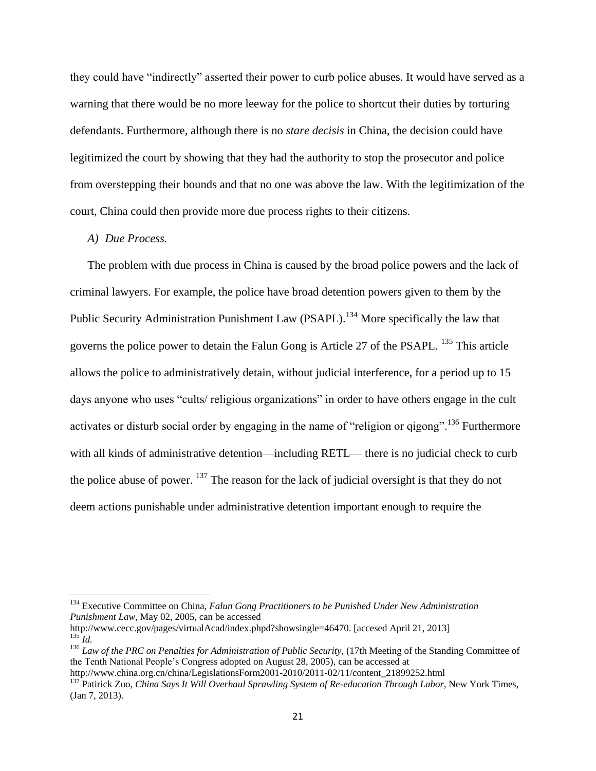they could have "indirectly" asserted their power to curb police abuses. It would have served as a warning that there would be no more leeway for the police to shortcut their duties by torturing defendants. Furthermore, although there is no *stare decisis* in China, the decision could have legitimized the court by showing that they had the authority to stop the prosecutor and police from overstepping their bounds and that no one was above the law. With the legitimization of the court, China could then provide more due process rights to their citizens.

# *A) Due Process.*

 $\overline{\phantom{a}}$ 

The problem with due process in China is caused by the broad police powers and the lack of criminal lawyers. For example, the police have broad detention powers given to them by the Public Security Administration Punishment Law (PSAPL).<sup>134</sup> More specifically the law that governs the police power to detain the Falun Gong is Article 27 of the PSAPL. <sup>135</sup> This article allows the police to administratively detain, without judicial interference, for a period up to 15 days anyone who uses "cults/ religious organizations" in order to have others engage in the cult activates or disturb social order by engaging in the name of "religion or qigong".<sup>136</sup> Furthermore with all kinds of administrative detention—including RETL— there is no judicial check to curb the police abuse of power. <sup>137</sup> The reason for the lack of judicial oversight is that they do not deem actions punishable under administrative detention important enough to require the

<sup>&</sup>lt;sup>134</sup> Executive Committee on China, Falun Gong Practitioners to be Punished Under New Administration *Punishment Law*, May 02, 2005, can be accessed

http://www.cecc.gov/pages/virtualAcad/index.phpd?showsingle=46470. [accesed April 21, 2013]  $^{135}$ *Id.* 

<sup>136</sup> *Law of the PRC on Penalties for Administration of Public Security*, (17th Meeting of the Standing Committee of the Tenth National People's Congress adopted on August 28, 2005), can be accessed at

http://www.china.org.cn/china/LegislationsForm2001-2010/2011-02/11/content\_21899252.html

<sup>137</sup> Patirick Zuo, *China Says It Will Overhaul Sprawling System of Re-education Through Labor*, New York Times, (Jan 7, 2013).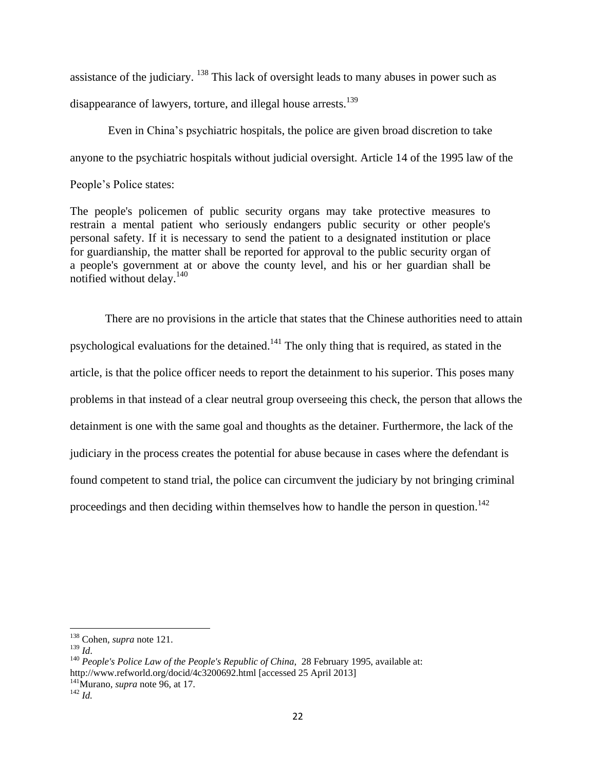assistance of the judiciary. <sup>138</sup> This lack of oversight leads to many abuses in power such as disappearance of lawyers, torture, and illegal house arrests.<sup>139</sup>

Even in China's psychiatric hospitals, the police are given broad discretion to take anyone to the psychiatric hospitals without judicial oversight. Article 14 of the 1995 law of the People's Police states:

The people's policemen of public security organs may take protective measures to restrain a mental patient who seriously endangers public security or other people's personal safety. If it is necessary to send the patient to a designated institution or place for guardianship, the matter shall be reported for approval to the public security organ of a people's government at or above the county level, and his or her guardian shall be notified without delay.<sup>140</sup>

There are no provisions in the article that states that the Chinese authorities need to attain psychological evaluations for the detained.<sup>141</sup> The only thing that is required, as stated in the article, is that the police officer needs to report the detainment to his superior. This poses many problems in that instead of a clear neutral group overseeing this check, the person that allows the detainment is one with the same goal and thoughts as the detainer. Furthermore, the lack of the judiciary in the process creates the potential for abuse because in cases where the defendant is found competent to stand trial, the police can circumvent the judiciary by not bringing criminal proceedings and then deciding within themselves how to handle the person in question.<sup>142</sup>

<sup>138</sup> Cohen*, supra* note 121.

<sup>139</sup> *Id*.

<sup>&</sup>lt;sup>140</sup> *People's Police Law of the People's Republic of China*, 28 February 1995, available at: http://www.refworld.org/docid/4c3200692.html [accessed 25 April 2013] <sup>141</sup>Murano, *supra* note 96, at 17.

<sup>142</sup> *Id.*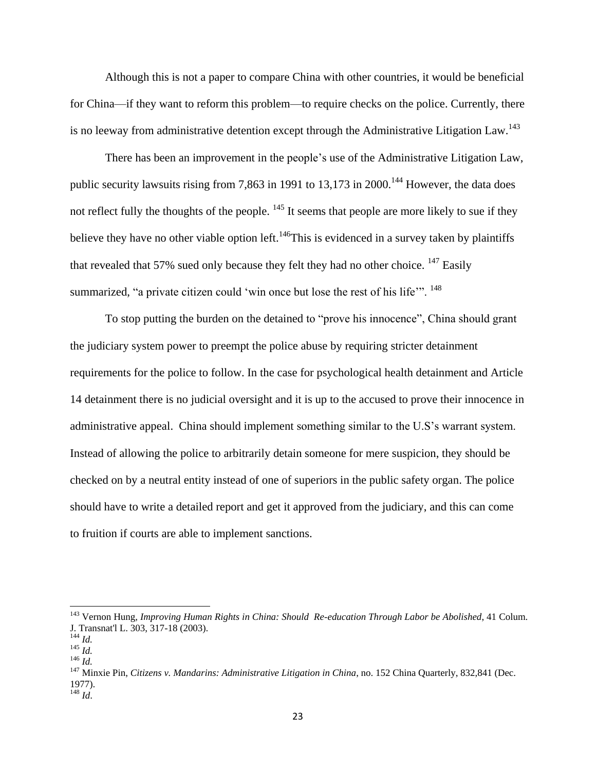Although this is not a paper to compare China with other countries, it would be beneficial for China—if they want to reform this problem—to require checks on the police. Currently, there is no leeway from administrative detention except through the Administrative Litigation Law.<sup>143</sup>

There has been an improvement in the people's use of the Administrative Litigation Law, public security lawsuits rising from 7,863 in 1991 to  $13,173$  in  $2000$ .<sup>144</sup> However, the data does not reflect fully the thoughts of the people. <sup>145</sup> It seems that people are more likely to sue if they believe they have no other viable option left.<sup>146</sup>This is evidenced in a survey taken by plaintiffs that revealed that 57% sued only because they felt they had no other choice.  $^{147}$  Easily summarized, "a private citizen could 'win once but lose the rest of his life".<sup>148</sup>

To stop putting the burden on the detained to "prove his innocence", China should grant the judiciary system power to preempt the police abuse by requiring stricter detainment requirements for the police to follow. In the case for psychological health detainment and Article 14 detainment there is no judicial oversight and it is up to the accused to prove their innocence in administrative appeal. China should implement something similar to the U.S's warrant system. Instead of allowing the police to arbitrarily detain someone for mere suspicion, they should be checked on by a neutral entity instead of one of superiors in the public safety organ. The police should have to write a detailed report and get it approved from the judiciary, and this can come to fruition if courts are able to implement sanctions.

<sup>143</sup> Vernon Hung, *Improving Human Rights in China: Should Re-education Through Labor be Abolished*, 41 Colum. J. Transnat'l L. 303, 317-18 (2003).

<sup>144</sup> *Id.*

 $^{145}$  *Id.* <sup>146</sup> *Id.*

<sup>&</sup>lt;sup>147</sup> Minxie Pin, *Citizens v. Mandarins: Administrative Litigation in China*, no. 152 China Quarterly, 832,841 (Dec. 1977). <sup>148</sup> *Id*.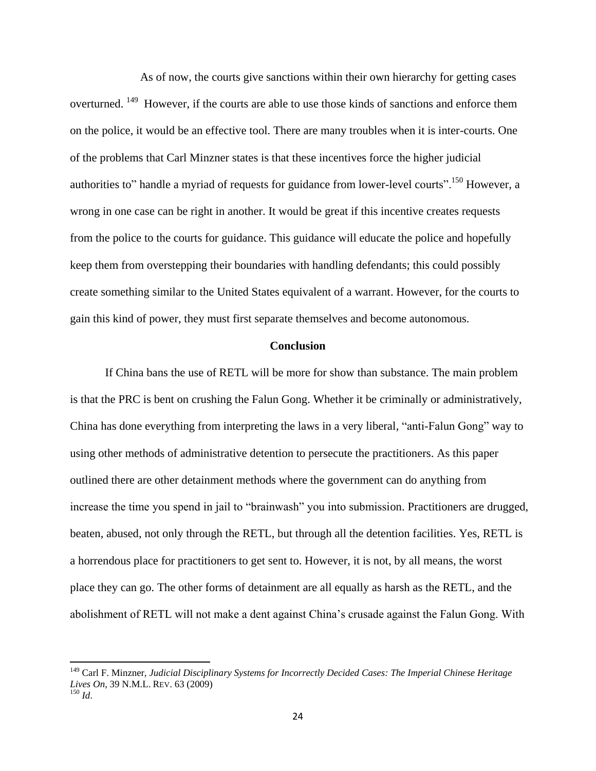As of now, the courts give sanctions within their own hierarchy for getting cases overturned. <sup>149</sup> However, if the courts are able to use those kinds of sanctions and enforce them on the police, it would be an effective tool. There are many troubles when it is inter-courts. One of the problems that Carl Minzner states is that these incentives force the higher judicial authorities to" handle a myriad of requests for guidance from lower-level courts".<sup>150</sup> However, a wrong in one case can be right in another. It would be great if this incentive creates requests from the police to the courts for guidance. This guidance will educate the police and hopefully keep them from overstepping their boundaries with handling defendants; this could possibly create something similar to the United States equivalent of a warrant. However, for the courts to gain this kind of power, they must first separate themselves and become autonomous.

# **Conclusion**

If China bans the use of RETL will be more for show than substance. The main problem is that the PRC is bent on crushing the Falun Gong. Whether it be criminally or administratively, China has done everything from interpreting the laws in a very liberal, "anti-Falun Gong" way to using other methods of administrative detention to persecute the practitioners. As this paper outlined there are other detainment methods where the government can do anything from increase the time you spend in jail to "brainwash" you into submission. Practitioners are drugged, beaten, abused, not only through the RETL, but through all the detention facilities. Yes, RETL is a horrendous place for practitioners to get sent to. However, it is not, by all means, the worst place they can go. The other forms of detainment are all equally as harsh as the RETL, and the abolishment of RETL will not make a dent against China's crusade against the Falun Gong. With

<sup>149</sup> Carl F. Minzner, *Judicial Disciplinary Systems for Incorrectly Decided Cases: The Imperial Chinese Heritage Lives On*, 39 N.M.L. REV. 63 (2009) <sup>150</sup> *Id*.